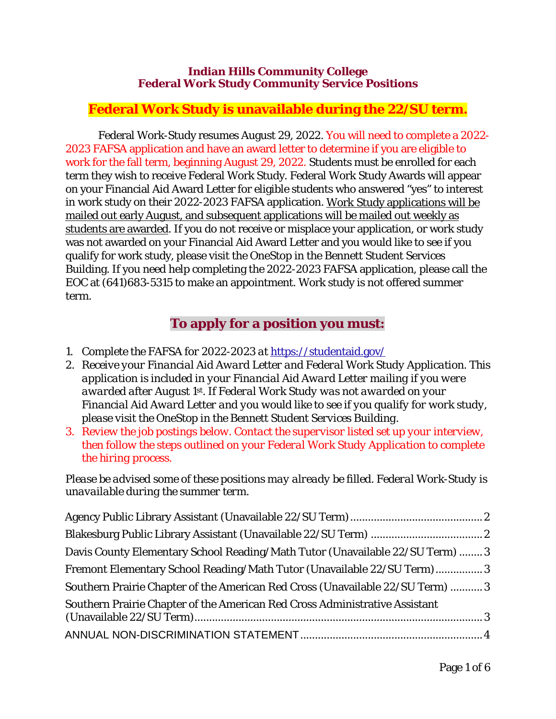#### **Indian Hills Community College Federal Work Study Community Service Positions**

### **Federal Work Study is unavailable during the 22/SU term.**

Federal Work-Study resumes August 29, 2022. You will need to complete a 2022- 2023 FAFSA application and have an award letter to determine if you are eligible to work for the fall term, beginning August 29, 2022. Students must be enrolled for each term they wish to receive Federal Work Study. Federal Work Study Awards will appear on your Financial Aid Award Letter for eligible students who answered "yes" to interest in work study on their 2022-2023 FAFSA application. Work Study applications will be mailed out early August, and subsequent applications will be mailed out weekly as students are awarded. If you do not receive or misplace your application, or work study was not awarded on your Financial Aid Award Letter and you would like to see if you qualify for work study, please visit the OneStop in the Bennett Student Services Building. If you need help completing the 2022-2023 FAFSA application, please call the EOC at (641)683-5315 to make an appointment. Work study is not offered summer term.

## **To apply for a position you must:**

- *1. Complete the FAFSA for 2022-2023 at* https://studentaid.gov/
- *2. Receive your Financial Aid Award Letter and Federal Work Study Application. This application is included in your Financial Aid Award Letter mailing if you were awarded after August 1st. If Federal Work Study was not awarded on your Financial Aid Award Letter and you would like to see if you qualify for work study, please visit the OneStop in the Bennett Student Services Building.*
- *3. Review the job postings below. Contact the supervisor listed set up your interview, then follow the steps outlined on your Federal Work Study Application to complete the hiring process.*

*Please be advised some of these positions may already be filled. Federal Work-Study is unavailable during the summer term.*

| Davis County Elementary School Reading/Math Tutor (Unavailable 22/SU Term)  3<br>Fremont Elementary School Reading/Math Tutor (Unavailable 22/SU Term) 3 |  |
|----------------------------------------------------------------------------------------------------------------------------------------------------------|--|
|                                                                                                                                                          |  |
| Southern Prairie Chapter of the American Red Cross Administrative Assistant                                                                              |  |
|                                                                                                                                                          |  |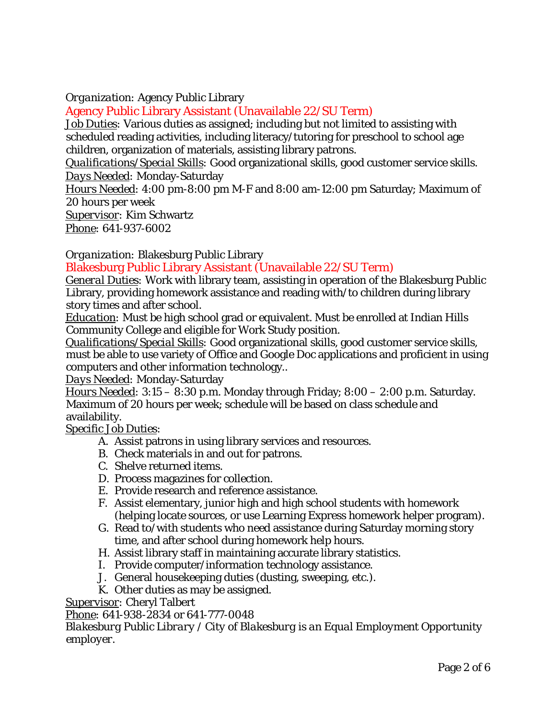#### *Organization:* Agency Public Library

<span id="page-1-0"></span>Agency Public Library Assistant (Unavailable 22/SU Term)

*Job Duties:* Various duties as assigned; including but not limited to assisting with scheduled reading activities, including literacy/tutoring for preschool to school age children, organization of materials, assisting library patrons.

*Qualifications/Special Skills:* Good organizational skills, good customer service skills. *Days Needed:* Monday-Saturday

*Hours Needed:* 4:00 pm-8:00 pm M-F and 8:00 am-12:00 pm Saturday; Maximum of 20 hours per week

*Supervisor:* Kim Schwartz

*Phone:* 641-937-6002

*Organization:* Blakesburg Public Library

<span id="page-1-1"></span>Blakesburg Public Library Assistant (Unavailable 22/SU Term)

*General Duties:* Work with library team, assisting in operation of the Blakesburg Public Library, providing homework assistance and reading with/to children during library story times and after school.

*Education:* Must be high school grad or equivalent. Must be enrolled at Indian Hills Community College and eligible for Work Study position.

*Qualifications/Special Skills:* Good organizational skills, good customer service skills, must be able to use variety of Office and Google Doc applications and proficient in using computers and other information technology..

*Days Needed:* Monday-Saturday

*Hours Needed:* 3:15 – 8:30 p.m. Monday through Friday; 8:00 – 2:00 p.m. Saturday. Maximum of 20 hours per week; schedule will be based on class schedule and availability.

#### *Specific Job Duties:*

- A. Assist patrons in using library services and resources.
- B. Check materials in and out for patrons.
- C. Shelve returned items.
- D. Process magazines for collection.
- E. Provide research and reference assistance.
- F. Assist elementary, junior high and high school students with homework (helping locate sources, or use Learning Express homework helper program).
- G. Read to/with students who need assistance during Saturday morning story time, and after school during homework help hours.
- H. Assist library staff in maintaining accurate library statistics.
- I. Provide computer/information technology assistance.
- J. General housekeeping duties (dusting, sweeping, etc.).
- K. Other duties as may be assigned.

*Supervisor:* Cheryl Talbert

#### *Phone:* 641-938-2834 or 641-777-0048

*Blakesburg Public Library / City of Blakesburg is an Equal Employment Opportunity employer.*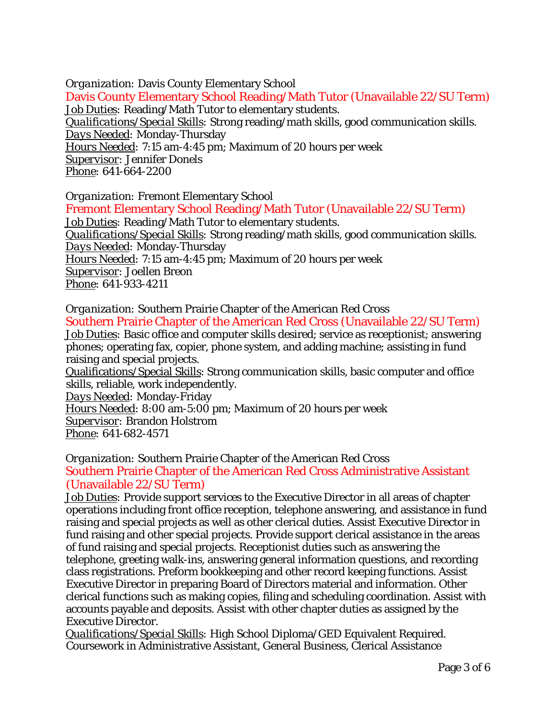<span id="page-2-0"></span>*Organization:* Davis County Elementary School Davis County Elementary School Reading/Math Tutor (Unavailable 22/SU Term) *Job Duties:* Reading/Math Tutor to elementary students. *Qualifications/Special Skills:* Strong reading/math skills, good communication skills. *Days Needed:* Monday-Thursday *Hours Needed:* 7:15 am-4:45 pm; Maximum of 20 hours per week *Supervisor:* Jennifer Donels *Phone:* 641-664-2200

<span id="page-2-1"></span>*Organization:* Fremont Elementary School Fremont Elementary School Reading/Math Tutor (Unavailable 22/SU Term) *Job Duties:* Reading/Math Tutor to elementary students. *Qualifications/Special Skills:* Strong reading/math skills, good communication skills. *Days Needed:* Monday-Thursday *Hours Needed:* 7:15 am-4:45 pm; Maximum of 20 hours per week *Supervisor:* Joellen Breon *Phone:* 641-933-4211

<span id="page-2-2"></span>*Organization:* Southern Prairie Chapter of the American Red Cross Southern Prairie Chapter of the American Red Cross (Unavailable 22/SU Term) *Job Duties:* Basic office and computer skills desired; service as receptionist; answering phones; operating fax, copier, phone system, and adding machine; assisting in fund raising and special projects. Qualifications/Special Skills: Strong communication skills, basic computer and office

skills, reliable, work independently. *Days Needed:* Monday-Friday *Hours Needed:* 8:00 am-5:00 pm; Maximum of 20 hours per week *Supervisor:* Brandon Holstrom *Phone:* 641-682-4571

<span id="page-2-3"></span>*Organization:* Southern Prairie Chapter of the American Red Cross Southern Prairie Chapter of the American Red Cross Administrative Assistant (Unavailable 22/SU Term)

*Job Duties:* Provide support services to the Executive Director in all areas of chapter operations including front office reception, telephone answering, and assistance in fund raising and special projects as well as other clerical duties. Assist Executive Director in fund raising and other special projects. Provide support clerical assistance in the areas of fund raising and special projects. Receptionist duties such as answering the telephone, greeting walk-ins, answering general information questions, and recording class registrations. Preform bookkeeping and other record keeping functions. Assist Executive Director in preparing Board of Directors material and information. Other clerical functions such as making copies, filing and scheduling coordination. Assist with accounts payable and deposits. Assist with other chapter duties as assigned by the Executive Director.

*Qualifications/Special Skills:* High School Diploma/GED Equivalent Required. Coursework in Administrative Assistant, General Business, Clerical Assistance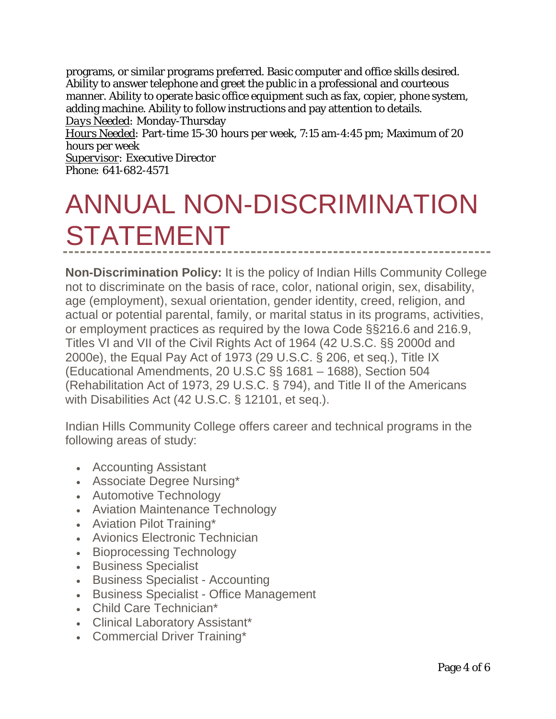programs, or similar programs preferred. Basic computer and office skills desired. Ability to answer telephone and greet the public in a professional and courteous manner. Ability to operate basic office equipment such as fax, copier, phone system, adding machine. Ability to follow instructions and pay attention to details. *Days Needed:* Monday-Thursday *Hours Needed:* Part-time 15-30 hours per week, 7:15 am-4:45 pm; Maximum of 20 hours per week *Supervisor:* Executive Director *Phone:* 641-682-4571

# <span id="page-3-0"></span>ANNUAL NON-DISCRIMINATION STATEMENT

**Non-Discrimination Policy:** It is the policy of Indian Hills Community College not to discriminate on the basis of race, color, national origin, sex, disability, age (employment), sexual orientation, gender identity, creed, religion, and actual or potential parental, family, or marital status in its programs, activities, or employment practices as required by the Iowa Code §§216.6 and 216.9, Titles VI and VII of the Civil Rights Act of 1964 (42 U.S.C. §§ 2000d and 2000e), the Equal Pay Act of 1973 (29 U.S.C. § 206, et seq.), Title IX (Educational Amendments, 20 U.S.C §§ 1681 – 1688), Section 504 (Rehabilitation Act of 1973, 29 U.S.C. § 794), and Title II of the Americans with Disabilities Act (42 U.S.C. § 12101, et seq.).

Indian Hills Community College offers career and technical programs in the following areas of study:

- Accounting Assistant
- Associate Degree Nursing\*
- Automotive Technology
- Aviation Maintenance Technology
- Aviation Pilot Training\*
- Avionics Electronic Technician
- Bioprocessing Technology
- Business Specialist
- Business Specialist Accounting
- Business Specialist Office Management
- Child Care Technician\*
- Clinical Laboratory Assistant\*
- Commercial Driver Training\*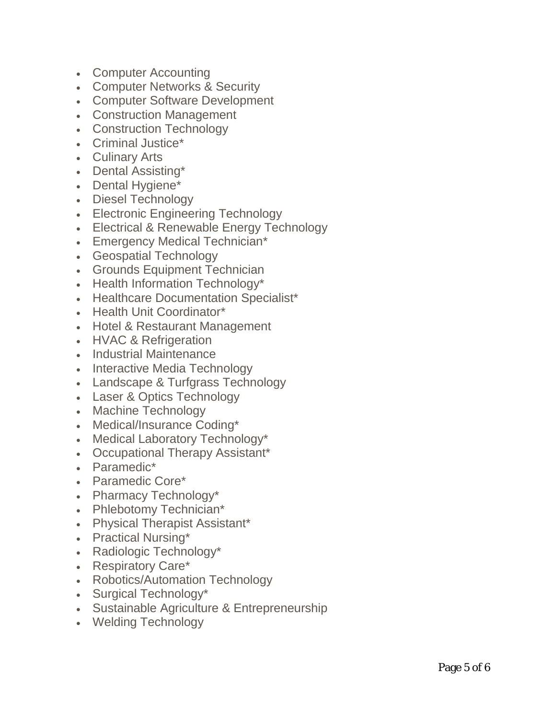- Computer Accounting
- Computer Networks & Security
- Computer Software Development
- Construction Management
- Construction Technology
- Criminal Justice\*
- Culinary Arts
- Dental Assisting\*
- Dental Hygiene\*
- Diesel Technology
- Electronic Engineering Technology
- Electrical & Renewable Energy Technology
- Emergency Medical Technician\*
- Geospatial Technology
- Grounds Equipment Technician
- Health Information Technology\*
- Healthcare Documentation Specialist\*
- Health Unit Coordinator\*
- Hotel & Restaurant Management
- HVAC & Refrigeration
- Industrial Maintenance
- Interactive Media Technology
- Landscape & Turfgrass Technology
- Laser & Optics Technology
- Machine Technology
- Medical/Insurance Coding\*
- Medical Laboratory Technology\*
- Occupational Therapy Assistant\*
- Paramedic\*
- Paramedic Core\*
- Pharmacy Technology\*
- Phlebotomy Technician\*
- Physical Therapist Assistant\*
- Practical Nursing\*
- Radiologic Technology\*
- Respiratory Care\*
- Robotics/Automation Technology
- Surgical Technology\*
- Sustainable Agriculture & Entrepreneurship
- Welding Technology